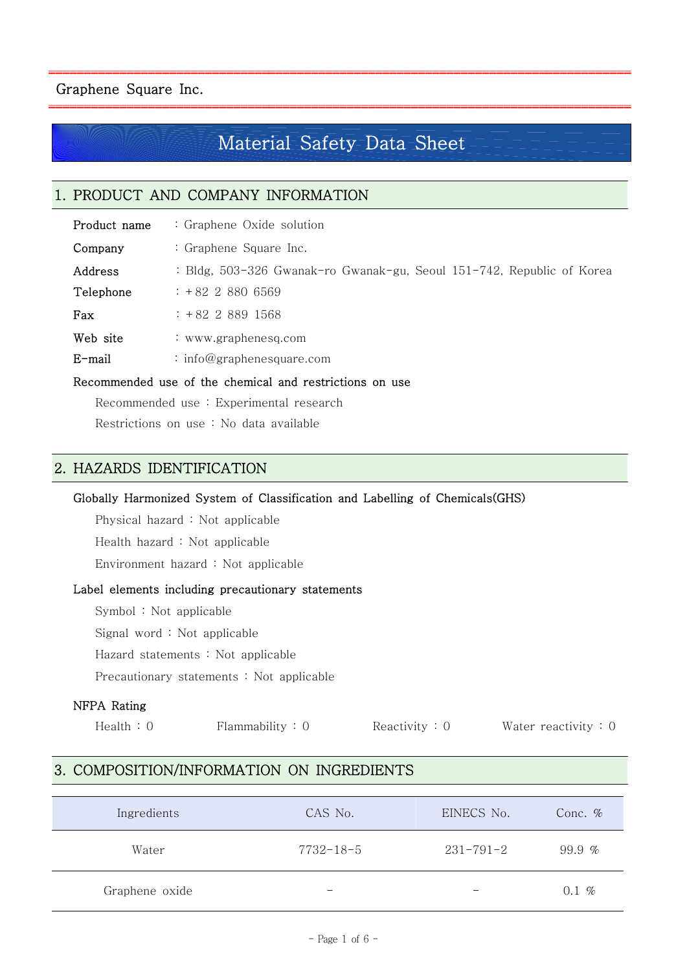# Material Safety Data Sheet

ar berara bara bara da da bara da bara banar banar banar banar banar banar banar banar banar banar banar bana

# 1. PRODUCT AND COMPANY INFORMATION

| Product name | : Graphene Oxide solution                                             |  |  |  |  |
|--------------|-----------------------------------------------------------------------|--|--|--|--|
| Company      | : Graphene Square Inc.                                                |  |  |  |  |
| Address      | : Bldg, 503-326 Gwanak-ro Gwanak-gu, Seoul 151-742, Republic of Korea |  |  |  |  |
| Telephone    | $: +8228806569$                                                       |  |  |  |  |
| Fax          | $: +82$ 2 889 1568                                                    |  |  |  |  |
| Web site     | : www.graphenesq.com                                                  |  |  |  |  |
| E-mail       | : info@graphenesquare.com                                             |  |  |  |  |
|              |                                                                       |  |  |  |  |

# Recommended use of the chemical and restrictions on use

Recommended use : Experimental research

Restrictions on use : No data available

# 2. HAZARDS IDENTIFICATION

# Globally Harmonized System of Classification and Labelling of Chemicals(GHS)

Physical hazard : Not applicable

Health hazard : Not applicable

Environment hazard : Not applicable

## Label elements including precautionary statements

Symbol : Not applicable

Signal word : Not applicable

Hazard statements : Not applicable

Precautionary statements : Not applicable

## NFPA Rating

Health : 0 Flammability : 0 Reactivity : 0 Water reactivity : 0

# 3. COMPOSITION/INFORMATION ON INGREDIENTS

| Ingredients    | CAS No.                  | EINECS No.               | Conc. $\%$ |
|----------------|--------------------------|--------------------------|------------|
| Water          | $7732 - 18 - 5$          | $231 - 791 - 2$          | 99.9 $%$   |
| Graphene oxide | $\overline{\phantom{0}}$ | $\overline{\phantom{0}}$ | $0.1~\%$   |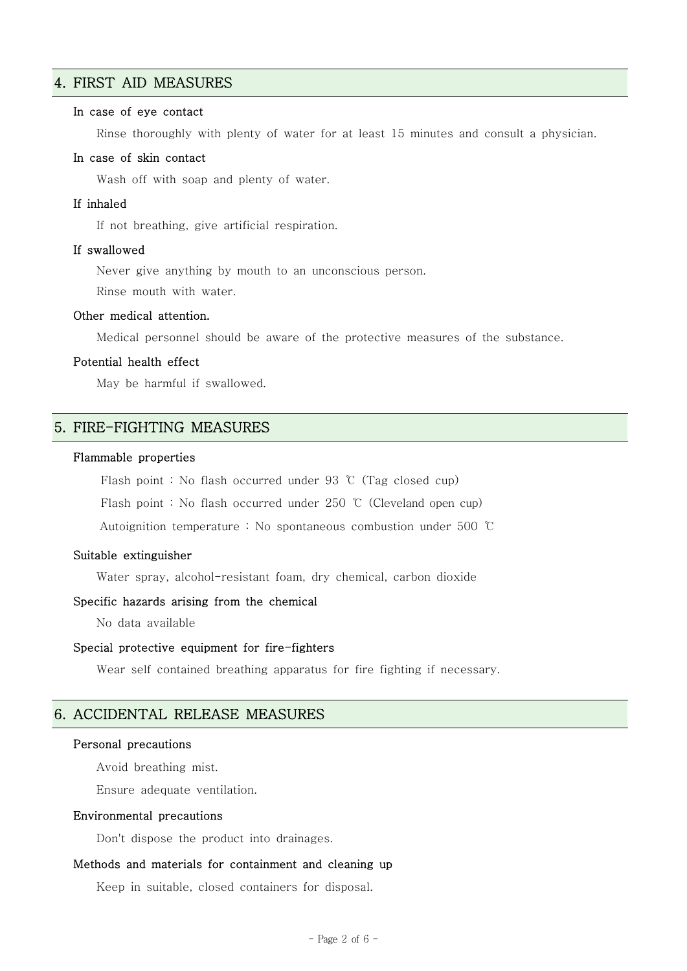# 4. FIRST AID MEASURES

### In case of eye contact

Rinse thoroughly with plenty of water for at least 15 minutes and consult a physician.

### In case of skin contact

Wash off with soap and plenty of water.

### If inhaled

If not breathing, give artificial respiration.

### If swallowed

Never give anything by mouth to an unconscious person.

Rinse mouth with water.

# Other medical attention.

Medical personnel should be aware of the protective measures of the substance.

### Potential health effect

May be harmful if swallowed.

# 5. FIRE-FIGHTING MEASURES

#### Flammable properties

Flash point : No flash occurred under 93 ℃ (Tag closed cup)

Flash point : No flash occurred under 250 ℃ (Cleveland open cup)

Autoignition temperature : No spontaneous combustion under 500 ℃

# Suitable extinguisher

Water spray, alcohol-resistant foam, dry chemical, carbon dioxide

### Specific hazards arising from the chemical

No data available

#### Special protective equipment for fire-fighters

Wear self contained breathing apparatus for fire fighting if necessary.

# 6. ACCIDENTAL RELEASE MEASURES

#### Personal precautions

Avoid breathing mist.

Ensure adequate ventilation.

### Environmental precautions

Don't dispose the product into drainages.

### Methods and materials for containment and cleaning up

Keep in suitable, closed containers for disposal.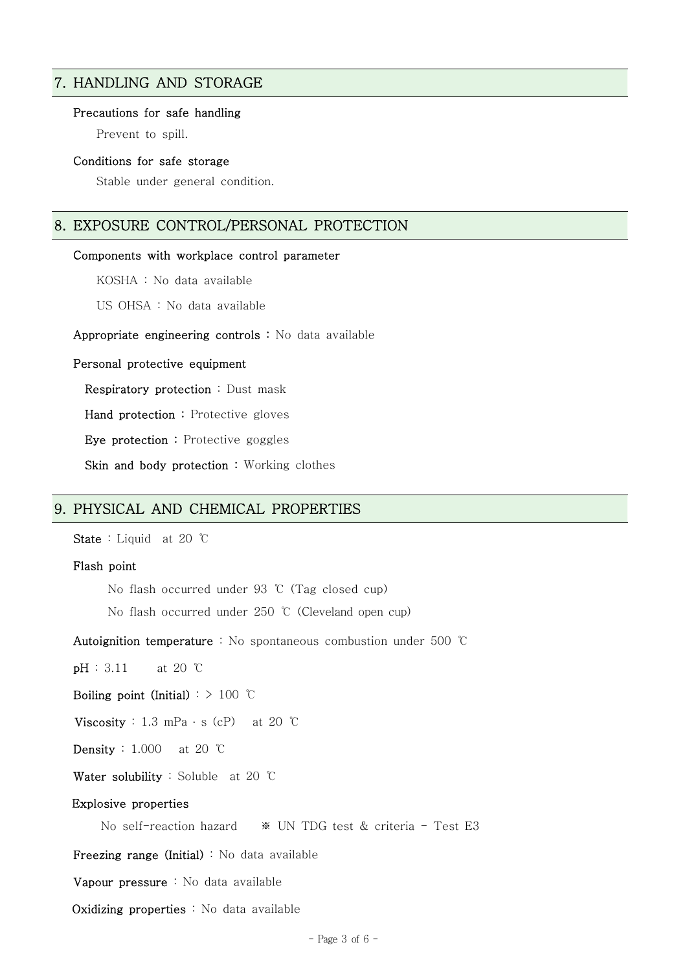# 7. HANDLING AND STORAGE

#### Precautions for safe handling

Prevent to spill.

### Conditions for safe storage

Stable under general condition.

# 8. EXPOSURE CONTROL/PERSONAL PROTECTION

#### Components with workplace control parameter

KOSHA : No data available

US OHSA : No data available

Appropriate engineering controls : No data available

#### Personal protective equipment

Respiratory protection : Dust mask

Hand protection : Protective gloves

Eye protection : Protective goggles

Skin and body protection : Working clothes

# 9. PHYSICAL AND CHEMICAL PROPERTIES

State : Liquid at 20 ℃

### Flash point

No flash occurred under 93 ℃ (Tag closed cup)

No flash occurred under 250 ℃ (Cleveland open cup)

Autoignition temperature : No spontaneous combustion under 500 ℃

**pH** : 3.11 at 20 ℃

Boiling point (Initial) :  $> 100$  °C

Viscosity : 1.3 mPa  $\cdot$  s (cP) at 20 °C

Density : 1.000 at 20 ℃

Water solubility : Soluble at 20 ℃

#### Explosive properties

No self-reaction hazard ※ UN TDG test & criteria - Test E3

Freezing range (Initial) : No data available

Vapour pressure : No data available

Oxidizing properties : No data available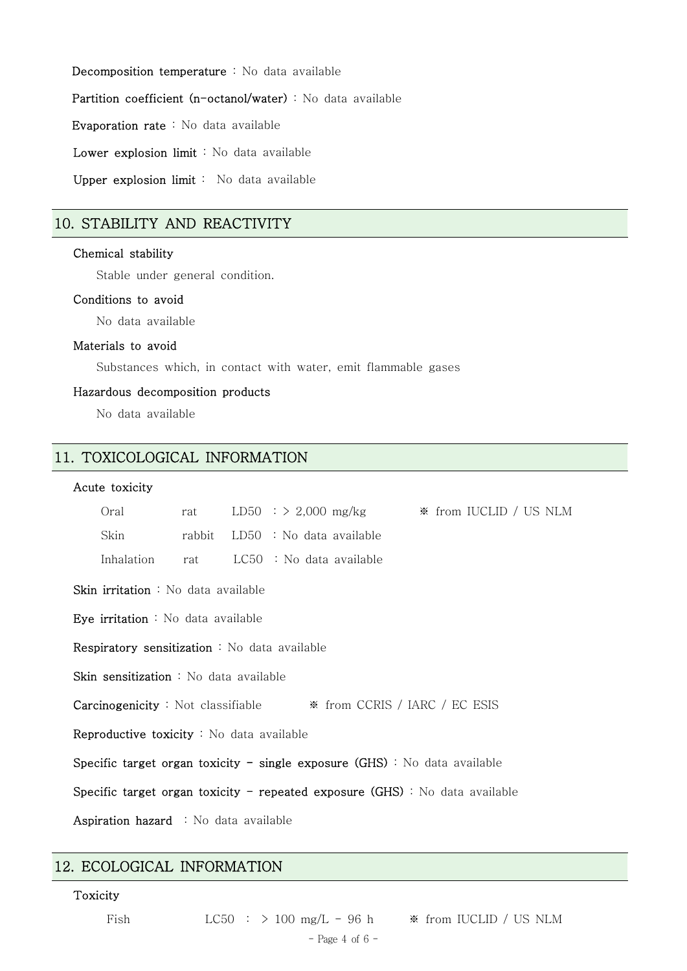Decomposition temperature : No data available

Partition coefficient (n-octanol/water) : No data available

Evaporation rate : No data available

Lower explosion limit : No data available

Upper explosion limit : No data available

# 10. STABILITY AND REACTIVITY

# Chemical stability

Stable under general condition.

### Conditions to avoid

No data available

### Materials to avoid

Substances which, in contact with water, emit flammable gases

# Hazardous decomposition products

No data available

# 11. TOXICOLOGICAL INFORMATION

## Acute toxicity

| Oral                                                                                     | rat    |  |                            |  | LD50 : $> 2,000$ mg/kg $\bullet$ from IUCLID / US NLM |  |  |
|------------------------------------------------------------------------------------------|--------|--|----------------------------|--|-------------------------------------------------------|--|--|
| Skin                                                                                     | rabbit |  | $LD50$ : No data available |  |                                                       |  |  |
| Inhalation                                                                               | rat    |  | $LC50$ : No data available |  |                                                       |  |  |
| <b>Skin irritation</b> : No data available                                               |        |  |                            |  |                                                       |  |  |
| Eye irritation : No data available                                                       |        |  |                            |  |                                                       |  |  |
| <b>Respiratory sensitization</b> : No data available                                     |        |  |                            |  |                                                       |  |  |
| <b>Skin sensitization</b> : No data available                                            |        |  |                            |  |                                                       |  |  |
| <b>Carcinogenicity</b> : Not classifiable $\bullet$ <b>*</b> from CCRIS / IARC / EC ESIS |        |  |                            |  |                                                       |  |  |
| <b>Reproductive toxicity</b> : No data available                                         |        |  |                            |  |                                                       |  |  |
| Specific target organ toxicity - single exposure $(GHS)$ : No data available             |        |  |                            |  |                                                       |  |  |
| Specific target organ toxicity – repeated exposure $(GHS)$ : No data available           |        |  |                            |  |                                                       |  |  |
| <b>Aspiration hazard</b> : No data available                                             |        |  |                            |  |                                                       |  |  |

# 12. ECOLOGICAL INFORMATION

### Toxicity

Fish  $LC50 : > 100$  mg/L - 96 h  $\ast$  from IUCLID / US NLM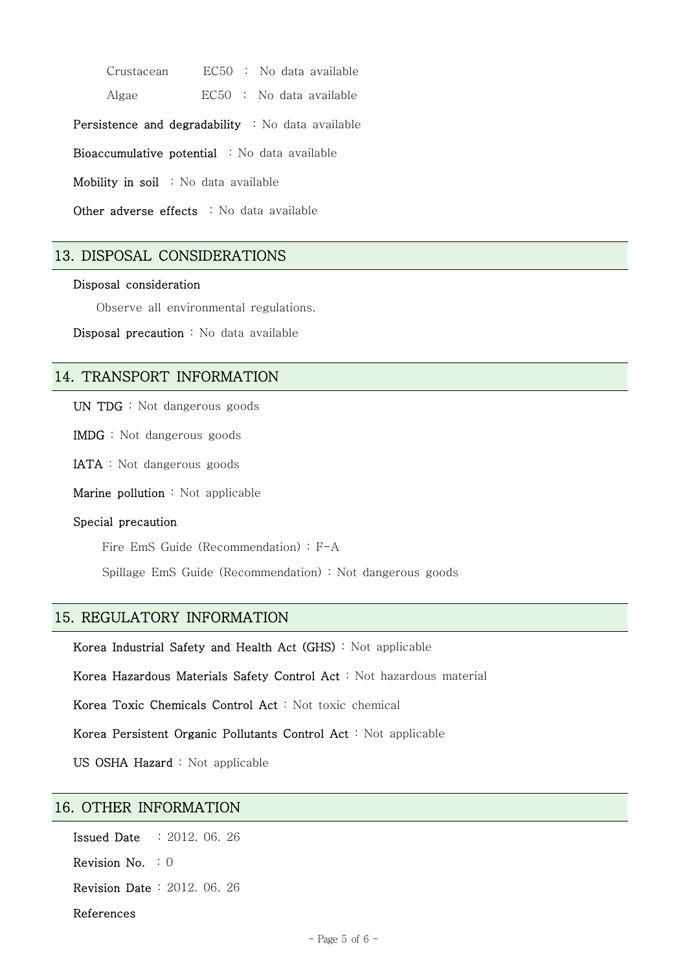Crustacean EC50 : No data available

Algae EC50 : No data available

Persistence and degradability : No data available

Bioaccumulative potential : No data available

Mobility in soil : No data available

Other adverse effects : No data available

# 13. DISPOSAL CONSIDERATIONS

### Disposal consideration

Observe all environmental regulations.

Disposal precaution : No data available

# 14. TRANSPORT INFORMATION

UN TDG : Not dangerous goods

IMDG : Not dangerous goods

IATA : Not dangerous goods

Marine pollution : Not applicable

#### Special precaution

Fire EmS Guide (Recommendation) : F-A

Spillage EmS Guide (Recommendation) : Not dangerous goods

# 15. REGULATORY INFORMATION

Korea Industrial Safety and Health Act (GHS) : Not applicable

Korea Hazardous Materials Safety Control Act : Not hazardous material

Korea Toxic Chemicals Control Act : Not toxic chemical

Korea Persistent Organic Pollutants Control Act : Not applicable

US OSHA Hazard : Not applicable

# 16. OTHER INFORMATION

Issued Date : 2012. 06. 26

Revision No. : 0

Revision Date : 2012. 06. 26

References